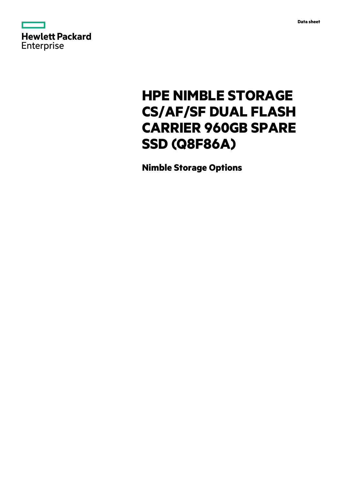



# **HPE NIMBLE STORAGE CS/AF/SF DUAL FLASH CARRIER 960GB SPARE SSD (Q8F86A)**

**Nimble Storage Options**